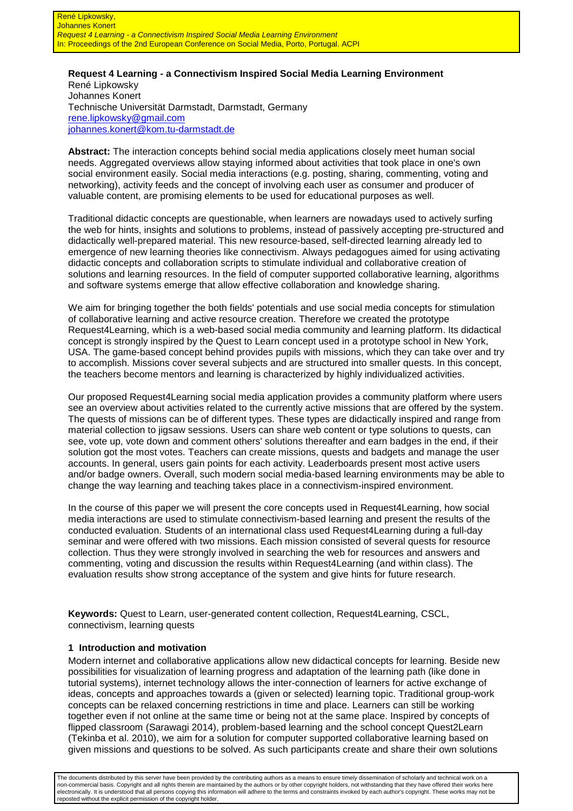### **Request 4 Learning - a Connectivism Inspired Social Media Learning Environment**  René Lipkowsky Johannes Konert Technische Universität Darmstadt, Darmstadt, Germany rene.lipkowsky@gmail.com johannes.konert@kom.tu-darmstadt.de

**Abstract:** The interaction concepts behind social media applications closely meet human social needs. Aggregated overviews allow staying informed about activities that took place in one's own social environment easily. Social media interactions (e.g. posting, sharing, commenting, voting and networking), activity feeds and the concept of involving each user as consumer and producer of valuable content, are promising elements to be used for educational purposes as well.

Traditional didactic concepts are questionable, when learners are nowadays used to actively surfing the web for hints, insights and solutions to problems, instead of passively accepting pre-structured and didactically well-prepared material. This new resource-based, self-directed learning already led to emergence of new learning theories like connectivism. Always pedagogues aimed for using activating didactic concepts and collaboration scripts to stimulate individual and collaborative creation of solutions and learning resources. In the field of computer supported collaborative learning, algorithms and software systems emerge that allow effective collaboration and knowledge sharing.

We aim for bringing together the both fields' potentials and use social media concepts for stimulation of collaborative learning and active resource creation. Therefore we created the prototype Request4Learning, which is a web-based social media community and learning platform. Its didactical concept is strongly inspired by the Quest to Learn concept used in a prototype school in New York, USA. The game-based concept behind provides pupils with missions, which they can take over and try to accomplish. Missions cover several subjects and are structured into smaller quests. In this concept, the teachers become mentors and learning is characterized by highly individualized activities.

Our proposed Request4Learning social media application provides a community platform where users see an overview about activities related to the currently active missions that are offered by the system. The quests of missions can be of different types. These types are didactically inspired and range from material collection to jigsaw sessions. Users can share web content or type solutions to quests, can see, vote up, vote down and comment others' solutions thereafter and earn badges in the end, if their solution got the most votes. Teachers can create missions, quests and badgets and manage the user accounts. In general, users gain points for each activity. Leaderboards present most active users and/or badge owners. Overall, such modern social media-based learning environments may be able to change the way learning and teaching takes place in a connectivism-inspired environment.

In the course of this paper we will present the core concepts used in Request4Learning, how social media interactions are used to stimulate connectivism-based learning and present the results of the conducted evaluation. Students of an international class used Request4Learning during a full-day seminar and were offered with two missions. Each mission consisted of several quests for resource collection. Thus they were strongly involved in searching the web for resources and answers and commenting, voting and discussion the results within Request4Learning (and within class). The evaluation results show strong acceptance of the system and give hints for future research.

**Keywords:** Quest to Learn, user-generated content collection, Request4Learning, CSCL, connectivism, learning quests

### **1 Introduction and motivation**

Modern internet and collaborative applications allow new didactical concepts for learning. Beside new possibilities for visualization of learning progress and adaptation of the learning path (like done in tutorial systems), internet technology allows the inter-connection of learners for active exchange of ideas, concepts and approaches towards a (given or selected) learning topic. Traditional group-work concepts can be relaxed concerning restrictions in time and place. Learners can still be working together even if not online at the same time or being not at the same place. Inspired by concepts of flipped classroom (Sarawagi 2014), problem-based learning and the school concept Quest2Learn (Tekinba et al. 2010), we aim for a solution for computer supported collaborative learning based on given missions and questions to be solved. As such participants create and share their own solutions

The documents distributed by this server have been provided by the contributing authors as a means to ensure timely dissemination of scholarly and technical work on a non-commercial basis. Copyright and all rights therein are maintained by the authors or by other copyright holders, not withstanding that they have offered their works here electronically. It is understood that all persons copying this information will adhere to the terms and constraints invoked by each author's copyright. These works may not be reposted without the explicit permission of the copyright holder.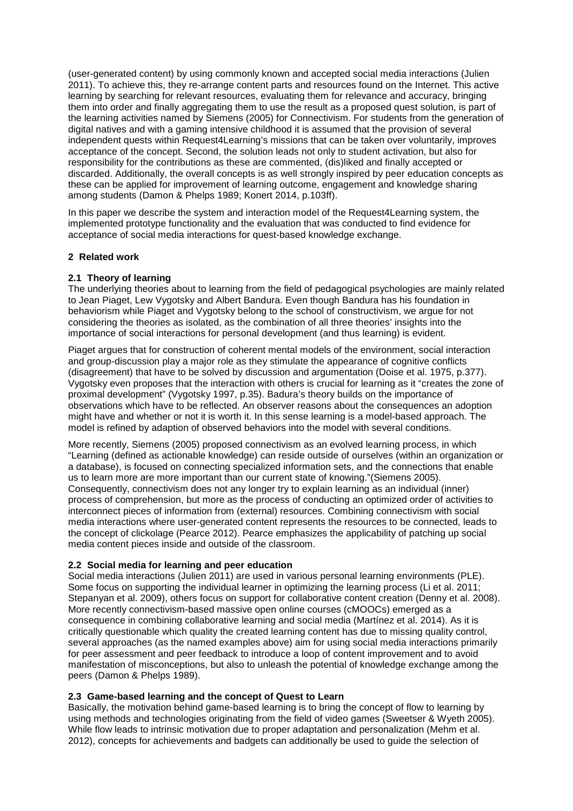(user-generated content) by using commonly known and accepted social media interactions (Julien 2011). To achieve this, they re-arrange content parts and resources found on the Internet. This active learning by searching for relevant resources, evaluating them for relevance and accuracy, bringing them into order and finally aggregating them to use the result as a proposed quest solution, is part of the learning activities named by Siemens (2005) for Connectivism. For students from the generation of digital natives and with a gaming intensive childhood it is assumed that the provision of several independent quests within Request4Learning's missions that can be taken over voluntarily, improves acceptance of the concept. Second, the solution leads not only to student activation, but also for responsibility for the contributions as these are commented, (dis)liked and finally accepted or discarded. Additionally, the overall concepts is as well strongly inspired by peer education concepts as these can be applied for improvement of learning outcome, engagement and knowledge sharing among students (Damon & Phelps 1989; Konert 2014, p.103ff).

In this paper we describe the system and interaction model of the Request4Learning system, the implemented prototype functionality and the evaluation that was conducted to find evidence for acceptance of social media interactions for quest-based knowledge exchange.

## **2 Related work**

## **2.1 Theory of learning**

The underlying theories about to learning from the field of pedagogical psychologies are mainly related to Jean Piaget, Lew Vygotsky and Albert Bandura. Even though Bandura has his foundation in behaviorism while Piaget and Vygotsky belong to the school of constructivism, we argue for not considering the theories as isolated, as the combination of all three theories' insights into the importance of social interactions for personal development (and thus learning) is evident.

Piaget argues that for construction of coherent mental models of the environment, social interaction and group-discussion play a major role as they stimulate the appearance of cognitive conflicts (disagreement) that have to be solved by discussion and argumentation (Doise et al. 1975, p.377). Vygotsky even proposes that the interaction with others is crucial for learning as it "creates the zone of proximal development" (Vygotsky 1997, p.35). Badura's theory builds on the importance of observations which have to be reflected. An observer reasons about the consequences an adoption might have and whether or not it is worth it. In this sense learning is a model-based approach. The model is refined by adaption of observed behaviors into the model with several conditions.

More recently, Siemens (2005) proposed connectivism as an evolved learning process, in which "Learning (defined as actionable knowledge) can reside outside of ourselves (within an organization or a database), is focused on connecting specialized information sets, and the connections that enable us to learn more are more important than our current state of knowing."(Siemens 2005). Consequently, connectivism does not any longer try to explain learning as an individual (inner) process of comprehension, but more as the process of conducting an optimized order of activities to interconnect pieces of information from (external) resources. Combining connectivism with social media interactions where user-generated content represents the resources to be connected, leads to the concept of clickolage (Pearce 2012). Pearce emphasizes the applicability of patching up social media content pieces inside and outside of the classroom.

### **2.2 Social media for learning and peer education**

Social media interactions (Julien 2011) are used in various personal learning environments (PLE). Some focus on supporting the individual learner in optimizing the learning process (Li et al. 2011; Stepanyan et al. 2009), others focus on support for collaborative content creation (Denny et al. 2008). More recently connectivism-based massive open online courses (cMOOCs) emerged as a consequence in combining collaborative learning and social media (Martínez et al. 2014). As it is critically questionable which quality the created learning content has due to missing quality control, several approaches (as the named examples above) aim for using social media interactions primarily for peer assessment and peer feedback to introduce a loop of content improvement and to avoid manifestation of misconceptions, but also to unleash the potential of knowledge exchange among the peers (Damon & Phelps 1989).

### **2.3 Game-based learning and the concept of Quest to Learn**

Basically, the motivation behind game-based learning is to bring the concept of flow to learning by using methods and technologies originating from the field of video games (Sweetser & Wyeth 2005). While flow leads to intrinsic motivation due to proper adaptation and personalization (Mehm et al. 2012), concepts for achievements and badgets can additionally be used to guide the selection of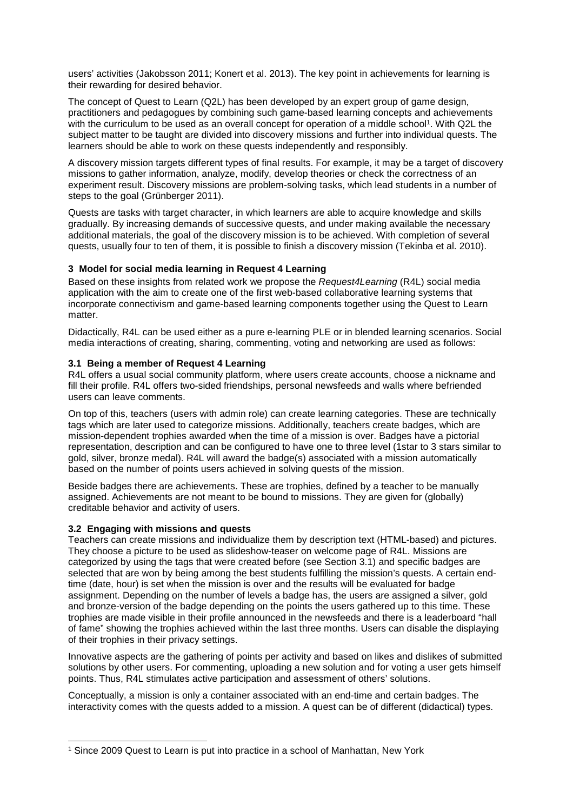users' activities (Jakobsson 2011; Konert et al. 2013). The key point in achievements for learning is their rewarding for desired behavior.

The concept of Quest to Learn (Q2L) has been developed by an expert group of game design, practitioners and pedagogues by combining such game-based learning concepts and achievements with the curriculum to be used as an overall concept for operation of a middle school<sup>1</sup>. With Q2L the subject matter to be taught are divided into discovery missions and further into individual quests. The learners should be able to work on these quests independently and responsibly.

A discovery mission targets different types of final results. For example, it may be a target of discovery missions to gather information, analyze, modify, develop theories or check the correctness of an experiment result. Discovery missions are problem-solving tasks, which lead students in a number of steps to the goal (Grünberger 2011).

Quests are tasks with target character, in which learners are able to acquire knowledge and skills gradually. By increasing demands of successive quests, and under making available the necessary additional materials, the goal of the discovery mission is to be achieved. With completion of several quests, usually four to ten of them, it is possible to finish a discovery mission (Tekinba et al. 2010).

## **3 Model for social media learning in Request 4 Learning**

Based on these insights from related work we propose the Request<sup>4</sup>Learning (R4L) social media application with the aim to create one of the first web-based collaborative learning systems that incorporate connectivism and game-based learning components together using the Quest to Learn matter.

Didactically, R4L can be used either as a pure e-learning PLE or in blended learning scenarios. Social media interactions of creating, sharing, commenting, voting and networking are used as follows:

## **3.1 Being a member of Request 4 Learning**

R4L offers a usual social community platform, where users create accounts, choose a nickname and fill their profile. R4L offers two-sided friendships, personal newsfeeds and walls where befriended users can leave comments.

On top of this, teachers (users with admin role) can create learning categories. These are technically tags which are later used to categorize missions. Additionally, teachers create badges, which are mission-dependent trophies awarded when the time of a mission is over. Badges have a pictorial representation, description and can be configured to have one to three level (1star to 3 stars similar to gold, silver, bronze medal). R4L will award the badge(s) associated with a mission automatically based on the number of points users achieved in solving quests of the mission.

Beside badges there are achievements. These are trophies, defined by a teacher to be manually assigned. Achievements are not meant to be bound to missions. They are given for (globally) creditable behavior and activity of users.

### **3.2 Engaging with missions and quests**

 $\overline{a}$ 

Teachers can create missions and individualize them by description text (HTML-based) and pictures. They choose a picture to be used as slideshow-teaser on welcome page of R4L. Missions are categorized by using the tags that were created before (see Section 3.1) and specific badges are selected that are won by being among the best students fulfilling the mission's quests. A certain endtime (date, hour) is set when the mission is over and the results will be evaluated for badge assignment. Depending on the number of levels a badge has, the users are assigned a silver, gold and bronze-version of the badge depending on the points the users gathered up to this time. These trophies are made visible in their profile announced in the newsfeeds and there is a leaderboard "hall of fame" showing the trophies achieved within the last three months. Users can disable the displaying of their trophies in their privacy settings.

Innovative aspects are the gathering of points per activity and based on likes and dislikes of submitted solutions by other users. For commenting, uploading a new solution and for voting a user gets himself points. Thus, R4L stimulates active participation and assessment of others' solutions.

Conceptually, a mission is only a container associated with an end-time and certain badges. The interactivity comes with the quests added to a mission. A quest can be of different (didactical) types.

<sup>1</sup> Since 2009 Quest to Learn is put into practice in a school of Manhattan, New York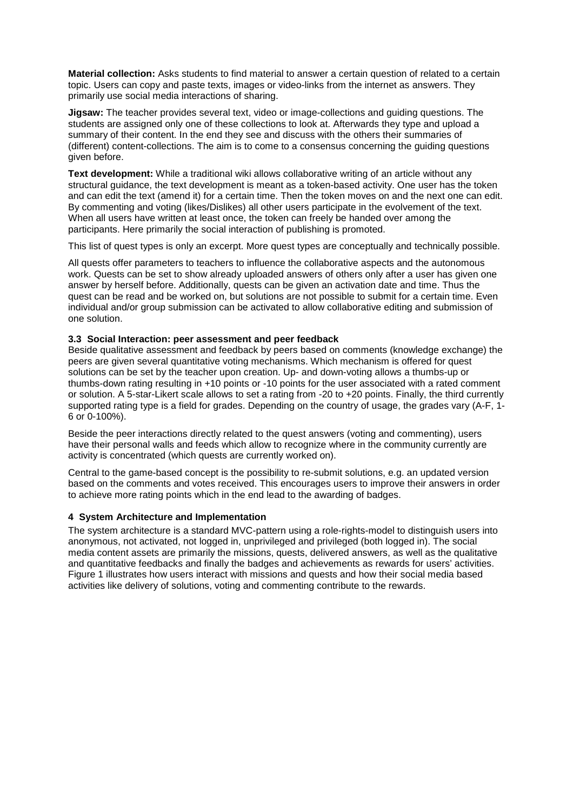**Material collection:** Asks students to find material to answer a certain question of related to a certain topic. Users can copy and paste texts, images or video-links from the internet as answers. They primarily use social media interactions of sharing.

**Jigsaw:** The teacher provides several text, video or image-collections and guiding questions. The students are assigned only one of these collections to look at. Afterwards they type and upload a summary of their content. In the end they see and discuss with the others their summaries of (different) content-collections. The aim is to come to a consensus concerning the guiding questions given before.

**Text development:** While a traditional wiki allows collaborative writing of an article without any structural guidance, the text development is meant as a token-based activity. One user has the token and can edit the text (amend it) for a certain time. Then the token moves on and the next one can edit. By commenting and voting (likes/Dislikes) all other users participate in the evolvement of the text. When all users have written at least once, the token can freely be handed over among the participants. Here primarily the social interaction of publishing is promoted.

This list of quest types is only an excerpt. More quest types are conceptually and technically possible.

All quests offer parameters to teachers to influence the collaborative aspects and the autonomous work. Quests can be set to show already uploaded answers of others only after a user has given one answer by herself before. Additionally, quests can be given an activation date and time. Thus the quest can be read and be worked on, but solutions are not possible to submit for a certain time. Even individual and/or group submission can be activated to allow collaborative editing and submission of one solution.

# **3.3 Social Interaction: peer assessment and peer feedback**

Beside qualitative assessment and feedback by peers based on comments (knowledge exchange) the peers are given several quantitative voting mechanisms. Which mechanism is offered for quest solutions can be set by the teacher upon creation. Up- and down-voting allows a thumbs-up or thumbs-down rating resulting in +10 points or -10 points for the user associated with a rated comment or solution. A 5-star-Likert scale allows to set a rating from -20 to +20 points. Finally, the third currently supported rating type is a field for grades. Depending on the country of usage, the grades vary (A-F, 1- 6 or 0-100%).

Beside the peer interactions directly related to the quest answers (voting and commenting), users have their personal walls and feeds which allow to recognize where in the community currently are activity is concentrated (which quests are currently worked on).

Central to the game-based concept is the possibility to re-submit solutions, e.g. an updated version based on the comments and votes received. This encourages users to improve their answers in order to achieve more rating points which in the end lead to the awarding of badges.

# **4 System Architecture and Implementation**

The system architecture is a standard MVC-pattern using a role-rights-model to distinguish users into anonymous, not activated, not logged in, unprivileged and privileged (both logged in). The social media content assets are primarily the missions, quests, delivered answers, as well as the qualitative and quantitative feedbacks and finally the badges and achievements as rewards for users' activities. Figure 1 illustrates how users interact with missions and quests and how their social media based activities like delivery of solutions, voting and commenting contribute to the rewards.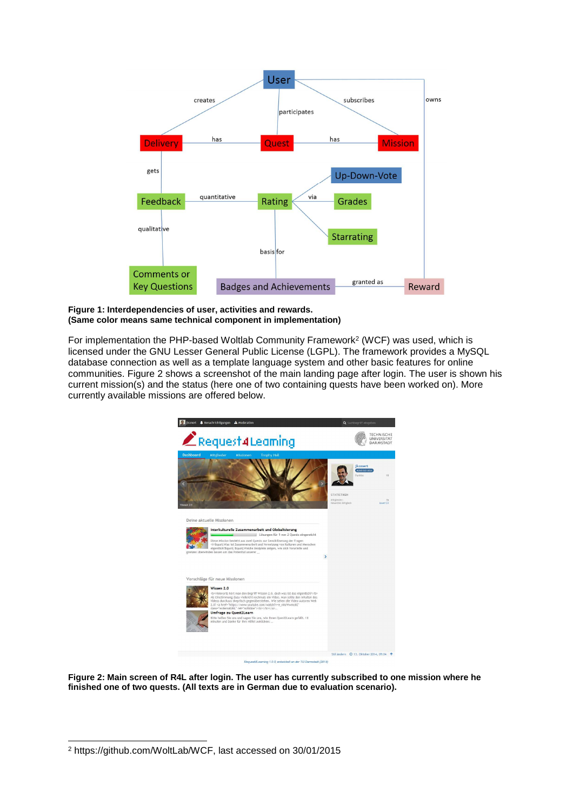

#### **Figure 1: Interdependencies of user, activities and rewards. (Same color means same technical component in implementation)**

For implementation the PHP-based Woltlab Community Framework<sup>2</sup> (WCF) was used, which is licensed under the GNU Lesser General Public License (LGPL). The framework provides a MySQL database connection as well as a template language system and other basic features for online communities. Figure 2 shows a screenshot of the main landing page after login. The user is shown his current mission(s) and the status (here one of two containing quests have been worked on). More currently available missions are offered below.



**Figure 2: Main screen of R4L after login. The user has currently subscribed to one mission where he finished one of two quests. (All texts are in German due to evaluation scenario).** 

 $\overline{a}$ 2 https://github.com/WoltLab/WCF, last accessed on 30/01/2015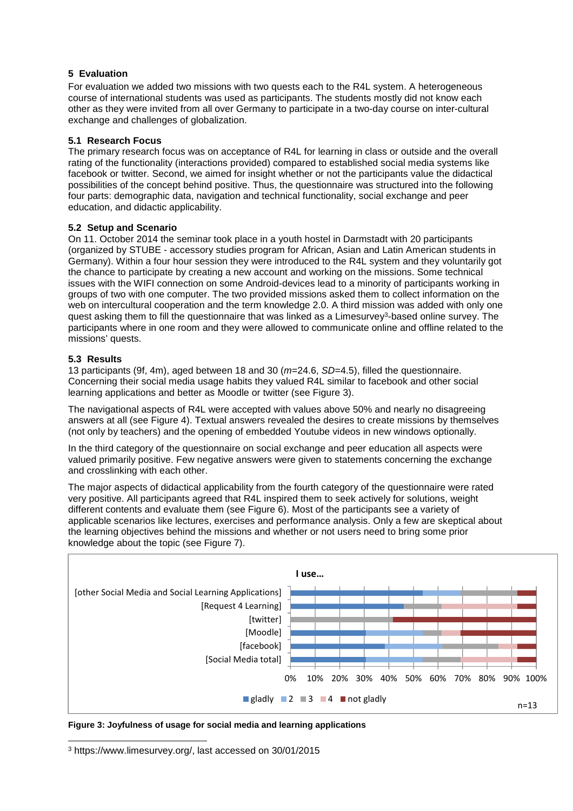# **5 Evaluation**

For evaluation we added two missions with two quests each to the R4L system. A heterogeneous course of international students was used as participants. The students mostly did not know each other as they were invited from all over Germany to participate in a two-day course on inter-cultural exchange and challenges of globalization.

# **5.1 Research Focus**

The primary research focus was on acceptance of R4L for learning in class or outside and the overall rating of the functionality (interactions provided) compared to established social media systems like facebook or twitter. Second, we aimed for insight whether or not the participants value the didactical possibilities of the concept behind positive. Thus, the questionnaire was structured into the following four parts: demographic data, navigation and technical functionality, social exchange and peer education, and didactic applicability.

# **5.2 Setup and Scenario**

On 11. October 2014 the seminar took place in a youth hostel in Darmstadt with 20 participants (organized by STUBE - accessory studies program for African, Asian and Latin American students in Germany). Within a four hour session they were introduced to the R4L system and they voluntarily got the chance to participate by creating a new account and working on the missions. Some technical issues with the WIFI connection on some Android-devices lead to a minority of participants working in groups of two with one computer. The two provided missions asked them to collect information on the web on intercultural cooperation and the term knowledge 2.0. A third mission was added with only one quest asking them to fill the questionnaire that was linked as a Limesurvey<sup>3</sup>-based online survey. The participants where in one room and they were allowed to communicate online and offline related to the missions' quests.

# **5.3 Results**

 $\overline{a}$ 

13 participants (9f, 4m), aged between 18 and 30 ( $m=24.6$ ,  $SD=4.5$ ), filled the questionnaire. Concerning their social media usage habits they valued R4L similar to facebook and other social learning applications and better as Moodle or twitter (see Figure 3).

The navigational aspects of R4L were accepted with values above 50% and nearly no disagreeing answers at all (see Figure 4). Textual answers revealed the desires to create missions by themselves (not only by teachers) and the opening of embedded Youtube videos in new windows optionally.

In the third category of the questionnaire on social exchange and peer education all aspects were valued primarily positive. Few negative answers were given to statements concerning the exchange and crosslinking with each other.

The major aspects of didactical applicability from the fourth category of the questionnaire were rated very positive. All participants agreed that R4L inspired them to seek actively for solutions, weight different contents and evaluate them (see Figure 6). Most of the participants see a variety of applicable scenarios like lectures, exercises and performance analysis. Only a few are skeptical about the learning objectives behind the missions and whether or not users need to bring some prior knowledge about the topic (see Figure 7).



**Figure 3: Joyfulness of usage for social media and learning applications** 

<sup>3</sup> https://www.limesurvey.org/, last accessed on 30/01/2015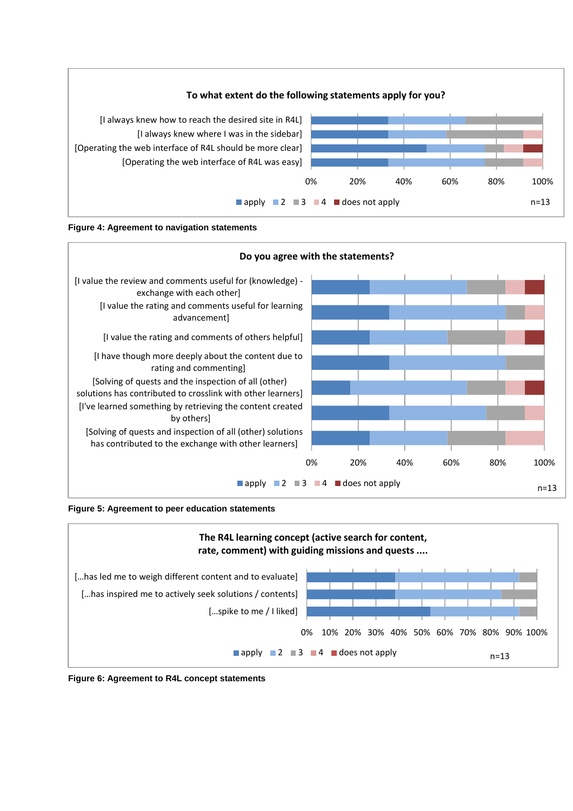





**Figure 5: Agreement to peer education statements** 



**Figure 6: Agreement to R4L concept statements**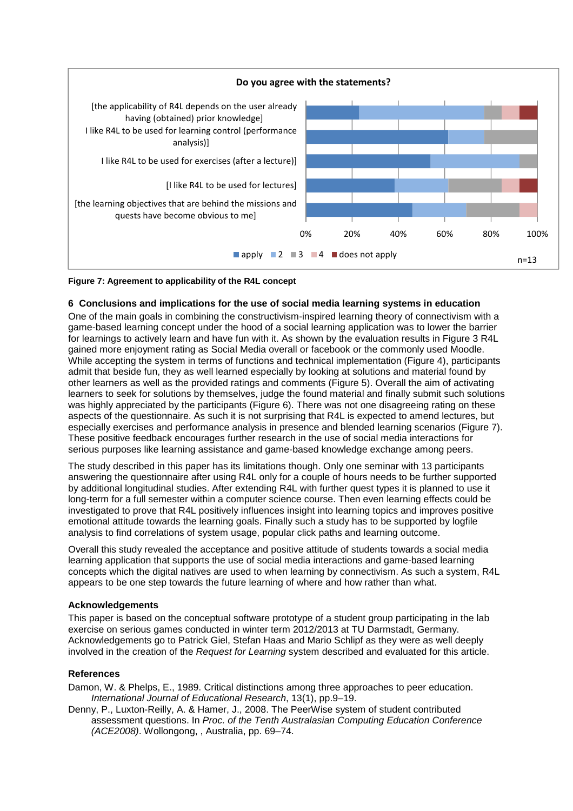

### **Figure 7: Agreement to applicability of the R4L concept**

#### **6 Conclusions and implications for the use of social media learning systems in education**

One of the main goals in combining the constructivism-inspired learning theory of connectivism with a game-based learning concept under the hood of a social learning application was to lower the barrier for learnings to actively learn and have fun with it. As shown by the evaluation results in Figure 3 R4L gained more enjoyment rating as Social Media overall or facebook or the commonly used Moodle. While accepting the system in terms of functions and technical implementation (Figure 4), participants admit that beside fun, they as well learned especially by looking at solutions and material found by other learners as well as the provided ratings and comments (Figure 5). Overall the aim of activating learners to seek for solutions by themselves, judge the found material and finally submit such solutions was highly appreciated by the participants (Figure 6). There was not one disagreeing rating on these aspects of the questionnaire. As such it is not surprising that R4L is expected to amend lectures, but especially exercises and performance analysis in presence and blended learning scenarios (Figure 7). These positive feedback encourages further research in the use of social media interactions for serious purposes like learning assistance and game-based knowledge exchange among peers.

The study described in this paper has its limitations though. Only one seminar with 13 participants answering the questionnaire after using R4L only for a couple of hours needs to be further supported by additional longitudinal studies. After extending R4L with further quest types it is planned to use it long-term for a full semester within a computer science course. Then even learning effects could be investigated to prove that R4L positively influences insight into learning topics and improves positive emotional attitude towards the learning goals. Finally such a study has to be supported by logfile analysis to find correlations of system usage, popular click paths and learning outcome.

Overall this study revealed the acceptance and positive attitude of students towards a social media learning application that supports the use of social media interactions and game-based learning concepts which the digital natives are used to when learning by connectivism. As such a system, R4L appears to be one step towards the future learning of where and how rather than what.

#### **Acknowledgements**

This paper is based on the conceptual software prototype of a student group participating in the lab exercise on serious games conducted in winter term 2012/2013 at TU Darmstadt, Germany. Acknowledgements go to Patrick Giel, Stefan Haas and Mario Schlipf as they were as well deeply involved in the creation of the Request for Learning system described and evaluated for this article.

#### **References**

Damon, W. & Phelps, E., 1989. Critical distinctions among three approaches to peer education. International Journal of Educational Research, 13(1), pp.9–19.

Denny, P., Luxton-Reilly, A. & Hamer, J., 2008. The PeerWise system of student contributed assessment questions. In Proc. of the Tenth Australasian Computing Education Conference (ACE2008). Wollongong, , Australia, pp. 69–74.